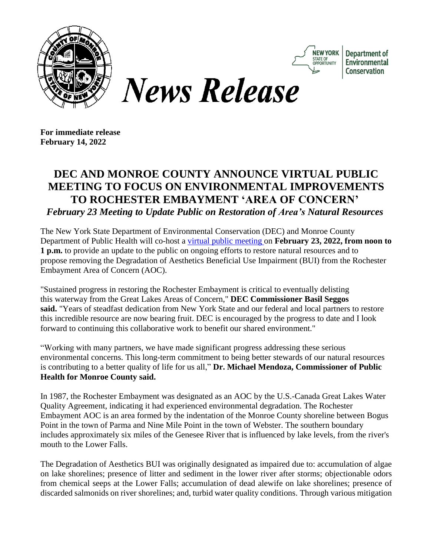



Department of Environmental **Conservation** 

**For immediate release February 14, 2022**

## **DEC AND MONROE COUNTY ANNOUNCE VIRTUAL PUBLIC MEETING TO FOCUS ON ENVIRONMENTAL IMPROVEMENTS TO ROCHESTER EMBAYMENT 'AREA OF CONCERN'** *February 23 Meeting to Update Public on Restoration of Area's Natural Resources*

The New York State Department of Environmental Conservation (DEC) and Monroe County Department of Public Health will co-host a virtual public [meeting](https://gcc02.safelinks.protection.outlook.com/?url=https%3A%2F%2Fmeetny.webex.com%2Fmw3300%2Fmywebex%2Fdefault.do%3Fnomenu%3Dtrue%26siteurl%3Dmeetny%26service%3D6%26rnd%3D0.0732782825881142%26main_url%3Dhttps%253A%252F%252Fmeetny.webex.com%252Fec3300%252Feventcenter%252Fevent%252FeventAction.do%253FtheAction%253Ddetail%2526%2526%2526EMK%253D4832534b0000000520e2df68c9fb400eea05190b9531fdc0f142cd5ba9602081d367e6498d5559c5%2526siteurl%253Dmeetny%2526confViewID%253D218146273028485016%2526encryptTicket%253DSDJTSwAAAAWDuVqhPN4pMyfWaj6jfEvSF1mQCBPP_UmDBsXm4iGGOA2%2526&data=04%7C01%7CTodd.Pignataro%40dec.ny.gov%7C033302c5f9ce4a45a44608d9ea581f56%7Cf46cb8ea79004d108ceb80e8c1c81ee7%7C0%7C0%7C637798486463953672%7CUnknown%7CTWFpbGZsb3d8eyJWIjoiMC4wLjAwMDAiLCJQIjoiV2luMzIiLCJBTiI6Ik1haWwiLCJXVCI6Mn0%3D%7C3000&sdata=QoMkmbV1LAtXNwMalNpBbi3vqk3hkkN%2FYMv0y2Hyw58%3D&reserved=0) on **February 23, 2022, from noon to 1 p.m.** to provide an update to the public on ongoing efforts to restore natural resources and to propose removing the Degradation of Aesthetics Beneficial Use Impairment (BUI) from the Rochester Embayment Area of Concern (AOC).

"Sustained progress in restoring the Rochester Embayment is critical to eventually delisting this waterway from the Great Lakes Areas of Concern," **DEC Commissioner Basil Seggos said.** "Years of steadfast dedication from New York State and our federal and local partners to restore this incredible resource are now bearing fruit. DEC is encouraged by the progress to date and I look forward to continuing this collaborative work to benefit our shared environment."

"Working with many partners, we have made significant progress addressing these serious environmental concerns. This long-term commitment to being better stewards of our natural resources is contributing to a better quality of life for us all," **Dr. Michael Mendoza, Commissioner of Public Health for Monroe County said.**

In 1987, the Rochester Embayment was designated as an AOC by the U.S.-Canada Great Lakes Water Quality Agreement, indicating it had experienced environmental degradation. The Rochester Embayment AOC is an area formed by the indentation of the Monroe County shoreline between Bogus Point in the town of Parma and Nine Mile Point in the town of Webster. The southern boundary includes approximately six miles of the Genesee River that is influenced by lake levels, from the river's mouth to the Lower Falls.

The Degradation of Aesthetics BUI was originally designated as impaired due to: accumulation of algae on lake shorelines; presence of litter and sediment in the lower river after storms; objectionable odors from chemical seeps at the Lower Falls; accumulation of dead alewife on lake shorelines; presence of discarded salmonids on river shorelines; and, turbid water quality conditions. Through various mitigation